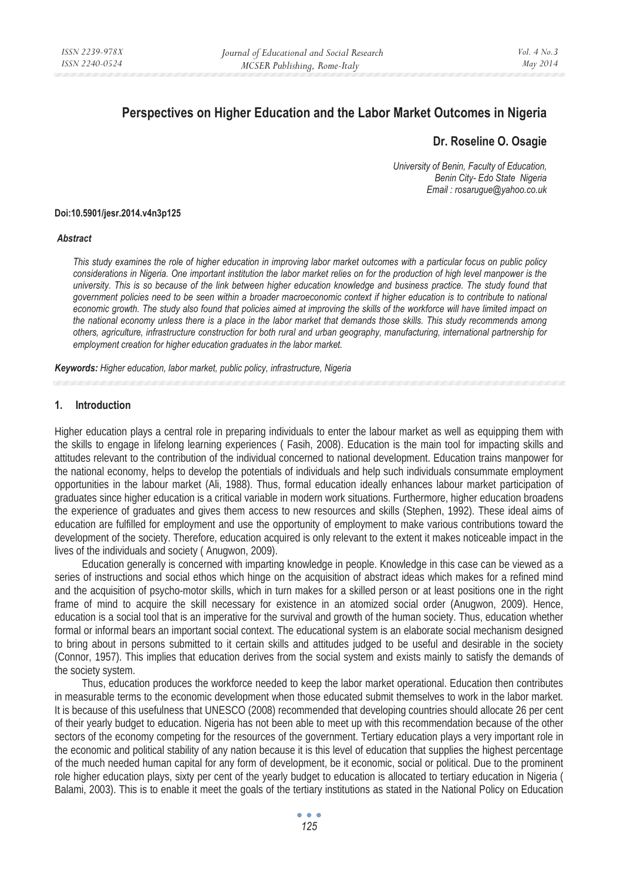# **Perspectives on Higher Education and the Labor Market Outcomes in Nigeria**

# **Dr. Roseline O. Osagie**

*University of Benin, Faculty of Education, Benin City- Edo State Nigeria Email : rosarugue@yahoo.co.uk* 

#### **Doi:10.5901/jesr.2014.v4n3p125**

#### *Abstract*

*This study examines the role of higher education in improving labor market outcomes with a particular focus on public policy considerations in Nigeria. One important institution the labor market relies on for the production of high level manpower is the university. This is so because of the link between higher education knowledge and business practice. The study found that government policies need to be seen within a broader macroeconomic context if higher education is to contribute to national economic growth. The study also found that policies aimed at improving the skills of the workforce will have limited impact on the national economy unless there is a place in the labor market that demands those skills. This study recommends among others, agriculture, infrastructure construction for both rural and urban geography, manufacturing, international partnership for employment creation for higher education graduates in the labor market.* 

*Keywords: Higher education, labor market, public policy, infrastructure, Nigeria*

#### **1. Introduction**

Higher education plays a central role in preparing individuals to enter the labour market as well as equipping them with the skills to engage in lifelong learning experiences ( Fasih, 2008). Education is the main tool for impacting skills and attitudes relevant to the contribution of the individual concerned to national development. Education trains manpower for the national economy, helps to develop the potentials of individuals and help such individuals consummate employment opportunities in the labour market (Ali, 1988). Thus, formal education ideally enhances labour market participation of graduates since higher education is a critical variable in modern work situations. Furthermore, higher education broadens the experience of graduates and gives them access to new resources and skills (Stephen, 1992). These ideal aims of education are fulfilled for employment and use the opportunity of employment to make various contributions toward the development of the society. Therefore, education acquired is only relevant to the extent it makes noticeable impact in the lives of the individuals and society ( Anugwon, 2009).

Education generally is concerned with imparting knowledge in people. Knowledge in this case can be viewed as a series of instructions and social ethos which hinge on the acquisition of abstract ideas which makes for a refined mind and the acquisition of psycho-motor skills, which in turn makes for a skilled person or at least positions one in the right frame of mind to acquire the skill necessary for existence in an atomized social order (Anugwon, 2009). Hence, education is a social tool that is an imperative for the survival and growth of the human society. Thus, education whether formal or informal bears an important social context. The educational system is an elaborate social mechanism designed to bring about in persons submitted to it certain skills and attitudes judged to be useful and desirable in the society (Connor, 1957). This implies that education derives from the social system and exists mainly to satisfy the demands of the society system.

Thus, education produces the workforce needed to keep the labor market operational. Education then contributes in measurable terms to the economic development when those educated submit themselves to work in the labor market. It is because of this usefulness that UNESCO (2008) recommended that developing countries should allocate 26 per cent of their yearly budget to education. Nigeria has not been able to meet up with this recommendation because of the other sectors of the economy competing for the resources of the government. Tertiary education plays a very important role in the economic and political stability of any nation because it is this level of education that supplies the highest percentage of the much needed human capital for any form of development, be it economic, social or political. Due to the prominent role higher education plays, sixty per cent of the yearly budget to education is allocated to tertiary education in Nigeria ( Balami, 2003). This is to enable it meet the goals of the tertiary institutions as stated in the National Policy on Education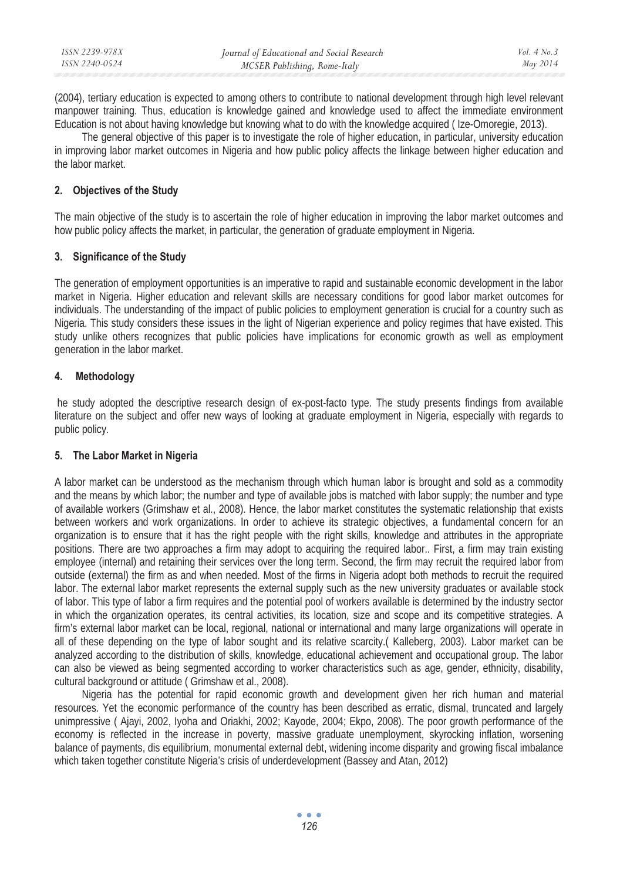| ISSN 2239-978X | Journal of Educational and Social Research | Vol. $4$ No. $3$ |
|----------------|--------------------------------------------|------------------|
| ISSN 2240-0524 | MCSER Publishing, Rome-Italy               | May 2014         |

(2004), tertiary education is expected to among others to contribute to national development through high level relevant manpower training. Thus, education is knowledge gained and knowledge used to affect the immediate environment Education is not about having knowledge but knowing what to do with the knowledge acquired ( Ize-Omoregie, 2013).

The general objective of this paper is to investigate the role of higher education, in particular, university education in improving labor market outcomes in Nigeria and how public policy affects the linkage between higher education and the labor market.

### **2. Objectives of the Study**

The main objective of the study is to ascertain the role of higher education in improving the labor market outcomes and how public policy affects the market, in particular, the generation of graduate employment in Nigeria.

## **3. Significance of the Study**

The generation of employment opportunities is an imperative to rapid and sustainable economic development in the labor market in Nigeria. Higher education and relevant skills are necessary conditions for good labor market outcomes for individuals. The understanding of the impact of public policies to employment generation is crucial for a country such as Nigeria. This study considers these issues in the light of Nigerian experience and policy regimes that have existed. This study unlike others recognizes that public policies have implications for economic growth as well as employment generation in the labor market.

## **4. Methodology**

 he study adopted the descriptive research design of ex-post-facto type. The study presents findings from available literature on the subject and offer new ways of looking at graduate employment in Nigeria, especially with regards to public policy.

#### **5. The Labor Market in Nigeria**

A labor market can be understood as the mechanism through which human labor is brought and sold as a commodity and the means by which labor; the number and type of available jobs is matched with labor supply; the number and type of available workers (Grimshaw et al., 2008). Hence, the labor market constitutes the systematic relationship that exists between workers and work organizations. In order to achieve its strategic objectives, a fundamental concern for an organization is to ensure that it has the right people with the right skills, knowledge and attributes in the appropriate positions. There are two approaches a firm may adopt to acquiring the required labor.. First, a firm may train existing employee (internal) and retaining their services over the long term. Second, the firm may recruit the required labor from outside (external) the firm as and when needed. Most of the firms in Nigeria adopt both methods to recruit the required labor. The external labor market represents the external supply such as the new university graduates or available stock of labor. This type of labor a firm requires and the potential pool of workers available is determined by the industry sector in which the organization operates, its central activities, its location, size and scope and its competitive strategies. A firm's external labor market can be local, regional, national or international and many large organizations will operate in all of these depending on the type of labor sought and its relative scarcity.( Kalleberg, 2003). Labor market can be analyzed according to the distribution of skills, knowledge, educational achievement and occupational group. The labor can also be viewed as being segmented according to worker characteristics such as age, gender, ethnicity, disability, cultural background or attitude ( Grimshaw et al., 2008).

Nigeria has the potential for rapid economic growth and development given her rich human and material resources. Yet the economic performance of the country has been described as erratic, dismal, truncated and largely unimpressive ( Ajayi, 2002, Iyoha and Oriakhi, 2002; Kayode, 2004; Ekpo, 2008). The poor growth performance of the economy is reflected in the increase in poverty, massive graduate unemployment, skyrocking inflation, worsening balance of payments, dis equilibrium, monumental external debt, widening income disparity and growing fiscal imbalance which taken together constitute Nigeria's crisis of underdevelopment (Bassey and Atan, 2012)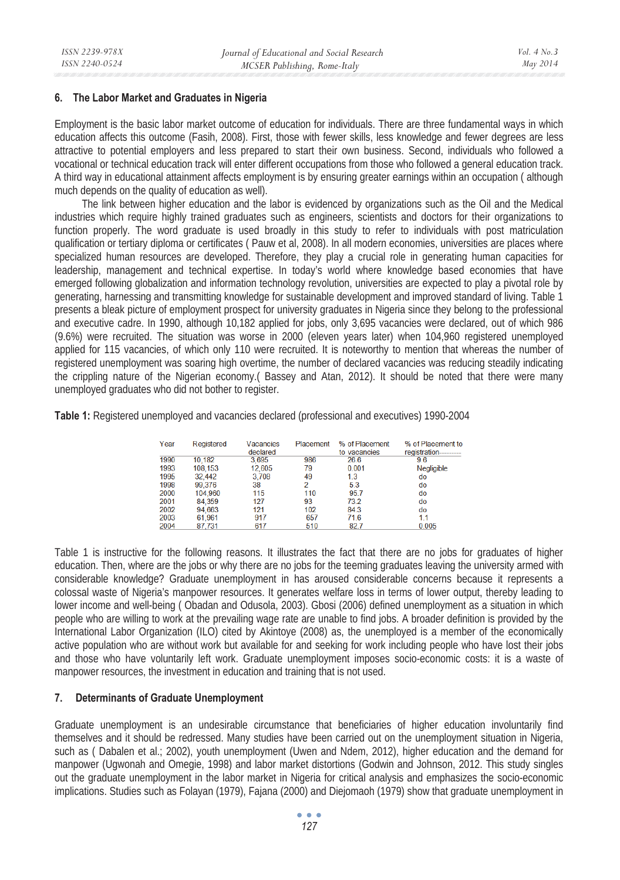### **6. The Labor Market and Graduates in Nigeria**

Employment is the basic labor market outcome of education for individuals. There are three fundamental ways in which education affects this outcome (Fasih, 2008). First, those with fewer skills, less knowledge and fewer degrees are less attractive to potential employers and less prepared to start their own business. Second, individuals who followed a vocational or technical education track will enter different occupations from those who followed a general education track. A third way in educational attainment affects employment is by ensuring greater earnings within an occupation ( although much depends on the quality of education as well).

The link between higher education and the labor is evidenced by organizations such as the Oil and the Medical industries which require highly trained graduates such as engineers, scientists and doctors for their organizations to function properly. The word graduate is used broadly in this study to refer to individuals with post matriculation qualification or tertiary diploma or certificates ( Pauw et al, 2008). In all modern economies, universities are places where specialized human resources are developed. Therefore, they play a crucial role in generating human capacities for leadership, management and technical expertise. In today's world where knowledge based economies that have emerged following globalization and information technology revolution, universities are expected to play a pivotal role by generating, harnessing and transmitting knowledge for sustainable development and improved standard of living. Table 1 presents a bleak picture of employment prospect for university graduates in Nigeria since they belong to the professional and executive cadre. In 1990, although 10,182 applied for jobs, only 3,695 vacancies were declared, out of which 986 (9.6%) were recruited. The situation was worse in 2000 (eleven years later) when 104,960 registered unemployed applied for 115 vacancies, of which only 110 were recruited. It is noteworthy to mention that whereas the number of registered unemployment was soaring high overtime, the number of declared vacancies was reducing steadily indicating the crippling nature of the Nigerian economy.( Bassey and Atan, 2012). It should be noted that there were many unemployed graduates who did not bother to register.

**Table 1:** Registered unemployed and vacancies declared (professional and executives) 1990-2004

| Year | Registered | Vacancies<br>declared | Placement | % of Placement<br>to vacancies | % of Placement to<br>registration--------- |
|------|------------|-----------------------|-----------|--------------------------------|--------------------------------------------|
| 1990 | 10.182     | 3.695                 | 986       | 26.6                           | 96                                         |
| 1993 | 108,153    | 12,605                | 79        | 0.001                          | <b>Negligible</b>                          |
| 1995 | 32,442     | 3.708                 | 49        | 1.3                            | do                                         |
| 1998 | 99.376     | 38                    | 2         | 5.3                            | do                                         |
| 2000 | 104.960    | 115                   | 110       | 95.7                           | do                                         |
| 2001 | 84.359     | 127                   | 93        | 73.2                           | do                                         |
| 2002 | 94.663     | 121                   | 102       | 84.3                           | do                                         |
| 2003 | 61.961     | 917                   | 657       | 71.6                           | 1.1                                        |
| 2004 | 87.731     | 617                   | 510       | 82.7                           | 0.005                                      |

Table 1 is instructive for the following reasons. It illustrates the fact that there are no jobs for graduates of higher education. Then, where are the jobs or why there are no jobs for the teeming graduates leaving the university armed with considerable knowledge? Graduate unemployment in has aroused considerable concerns because it represents a colossal waste of Nigeria's manpower resources. It generates welfare loss in terms of lower output, thereby leading to lower income and well-being ( Obadan and Odusola, 2003). Gbosi (2006) defined unemployment as a situation in which people who are willing to work at the prevailing wage rate are unable to find jobs. A broader definition is provided by the International Labor Organization (ILO) cited by Akintoye (2008) as, the unemployed is a member of the economically active population who are without work but available for and seeking for work including people who have lost their jobs and those who have voluntarily left work. Graduate unemployment imposes socio-economic costs: it is a waste of manpower resources, the investment in education and training that is not used.

### **7. Determinants of Graduate Unemployment**

Graduate unemployment is an undesirable circumstance that beneficiaries of higher education involuntarily find themselves and it should be redressed. Many studies have been carried out on the unemployment situation in Nigeria, such as ( Dabalen et al.; 2002), youth unemployment (Uwen and Ndem, 2012), higher education and the demand for manpower (Ugwonah and Omegie, 1998) and labor market distortions (Godwin and Johnson, 2012. This study singles out the graduate unemployment in the labor market in Nigeria for critical analysis and emphasizes the socio-economic implications. Studies such as Folayan (1979), Fajana (2000) and Diejomaoh (1979) show that graduate unemployment in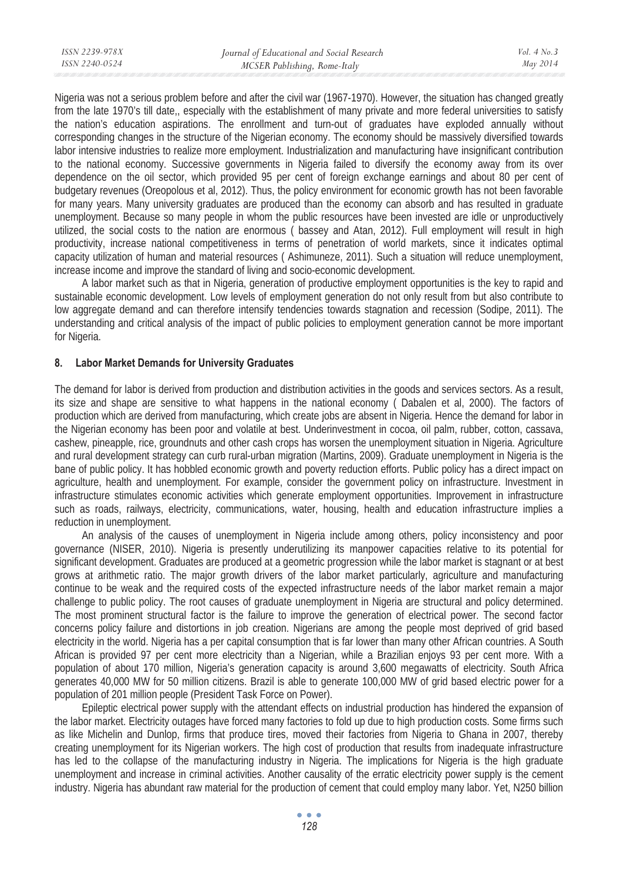| ISSN 2239-978X | Journal of Educational and Social Research | Vol. $4$ No. $3$ |
|----------------|--------------------------------------------|------------------|
| ISSN 2240-0524 | MCSER Publishing, Rome-Italy               | May 2014         |
|                |                                            |                  |

Nigeria was not a serious problem before and after the civil war (1967-1970). However, the situation has changed greatly from the late 1970's till date,, especially with the establishment of many private and more federal universities to satisfy the nation's education aspirations. The enrollment and turn-out of graduates have exploded annually without corresponding changes in the structure of the Nigerian economy. The economy should be massively diversified towards labor intensive industries to realize more employment. Industrialization and manufacturing have insignificant contribution to the national economy. Successive governments in Nigeria failed to diversify the economy away from its over dependence on the oil sector, which provided 95 per cent of foreign exchange earnings and about 80 per cent of budgetary revenues (Oreopolous et al, 2012). Thus, the policy environment for economic growth has not been favorable for many years. Many university graduates are produced than the economy can absorb and has resulted in graduate unemployment. Because so many people in whom the public resources have been invested are idle or unproductively utilized, the social costs to the nation are enormous ( bassey and Atan, 2012). Full employment will result in high productivity, increase national competitiveness in terms of penetration of world markets, since it indicates optimal capacity utilization of human and material resources ( Ashimuneze, 2011). Such a situation will reduce unemployment, increase income and improve the standard of living and socio-economic development.

A labor market such as that in Nigeria, generation of productive employment opportunities is the key to rapid and sustainable economic development. Low levels of employment generation do not only result from but also contribute to low aggregate demand and can therefore intensify tendencies towards stagnation and recession (Sodipe, 2011). The understanding and critical analysis of the impact of public policies to employment generation cannot be more important for Nigeria.

#### **8. Labor Market Demands for University Graduates**

The demand for labor is derived from production and distribution activities in the goods and services sectors. As a result, its size and shape are sensitive to what happens in the national economy ( Dabalen et al, 2000). The factors of production which are derived from manufacturing, which create jobs are absent in Nigeria. Hence the demand for labor in the Nigerian economy has been poor and volatile at best. Underinvestment in cocoa, oil palm, rubber, cotton, cassava, cashew, pineapple, rice, groundnuts and other cash crops has worsen the unemployment situation in Nigeria. Agriculture and rural development strategy can curb rural-urban migration (Martins, 2009). Graduate unemployment in Nigeria is the bane of public policy. It has hobbled economic growth and poverty reduction efforts. Public policy has a direct impact on agriculture, health and unemployment. For example, consider the government policy on infrastructure. Investment in infrastructure stimulates economic activities which generate employment opportunities. Improvement in infrastructure such as roads, railways, electricity, communications, water, housing, health and education infrastructure implies a reduction in unemployment.

An analysis of the causes of unemployment in Nigeria include among others, policy inconsistency and poor governance (NISER, 2010). Nigeria is presently underutilizing its manpower capacities relative to its potential for significant development. Graduates are produced at a geometric progression while the labor market is stagnant or at best grows at arithmetic ratio. The major growth drivers of the labor market particularly, agriculture and manufacturing continue to be weak and the required costs of the expected infrastructure needs of the labor market remain a major challenge to public policy. The root causes of graduate unemployment in Nigeria are structural and policy determined. The most prominent structural factor is the failure to improve the generation of electrical power. The second factor concerns policy failure and distortions in job creation. Nigerians are among the people most deprived of grid based electricity in the world. Nigeria has a per capital consumption that is far lower than many other African countries. A South African is provided 97 per cent more electricity than a Nigerian, while a Brazilian enjoys 93 per cent more. With a population of about 170 million, Nigeria's generation capacity is around 3,600 megawatts of electricity. South Africa generates 40,000 MW for 50 million citizens. Brazil is able to generate 100,000 MW of grid based electric power for a population of 201 million people (President Task Force on Power).

Epileptic electrical power supply with the attendant effects on industrial production has hindered the expansion of the labor market. Electricity outages have forced many factories to fold up due to high production costs. Some firms such as like Michelin and Dunlop, firms that produce tires, moved their factories from Nigeria to Ghana in 2007, thereby creating unemployment for its Nigerian workers. The high cost of production that results from inadequate infrastructure has led to the collapse of the manufacturing industry in Nigeria. The implications for Nigeria is the high graduate unemployment and increase in criminal activities. Another causality of the erratic electricity power supply is the cement industry. Nigeria has abundant raw material for the production of cement that could employ many labor. Yet, N250 billion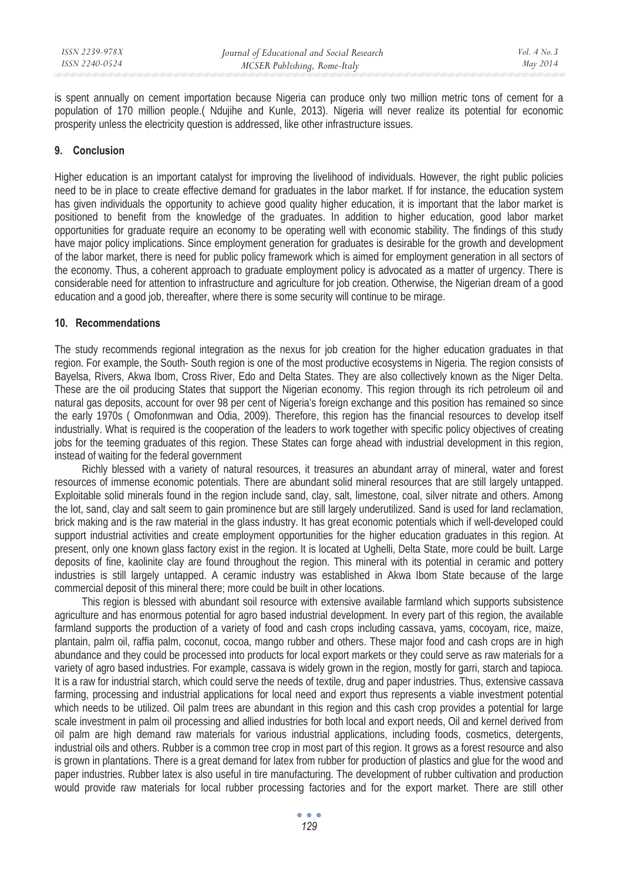is spent annually on cement importation because Nigeria can produce only two million metric tons of cement for a population of 170 million people.( Ndujihe and Kunle, 2013). Nigeria will never realize its potential for economic prosperity unless the electricity question is addressed, like other infrastructure issues.

### **9. Conclusion**

Higher education is an important catalyst for improving the livelihood of individuals. However, the right public policies need to be in place to create effective demand for graduates in the labor market. If for instance, the education system has given individuals the opportunity to achieve good quality higher education, it is important that the labor market is positioned to benefit from the knowledge of the graduates. In addition to higher education, good labor market opportunities for graduate require an economy to be operating well with economic stability. The findings of this study have major policy implications. Since employment generation for graduates is desirable for the growth and development of the labor market, there is need for public policy framework which is aimed for employment generation in all sectors of the economy. Thus, a coherent approach to graduate employment policy is advocated as a matter of urgency. There is considerable need for attention to infrastructure and agriculture for job creation. Otherwise, the Nigerian dream of a good education and a good job, thereafter, where there is some security will continue to be mirage.

#### **10. Recommendations**

The study recommends regional integration as the nexus for job creation for the higher education graduates in that region. For example, the South- South region is one of the most productive ecosystems in Nigeria. The region consists of Bayelsa, Rivers, Akwa Ibom, Cross River, Edo and Delta States. They are also collectively known as the Niger Delta. These are the oil producing States that support the Nigerian economy. This region through its rich petroleum oil and natural gas deposits, account for over 98 per cent of Nigeria's foreign exchange and this position has remained so since the early 1970s ( Omofonmwan and Odia, 2009). Therefore, this region has the financial resources to develop itself industrially. What is required is the cooperation of the leaders to work together with specific policy objectives of creating jobs for the teeming graduates of this region. These States can forge ahead with industrial development in this region, instead of waiting for the federal government

Richly blessed with a variety of natural resources, it treasures an abundant array of mineral, water and forest resources of immense economic potentials. There are abundant solid mineral resources that are still largely untapped. Exploitable solid minerals found in the region include sand, clay, salt, limestone, coal, silver nitrate and others. Among the lot, sand, clay and salt seem to gain prominence but are still largely underutilized. Sand is used for land reclamation, brick making and is the raw material in the glass industry. It has great economic potentials which if well-developed could support industrial activities and create employment opportunities for the higher education graduates in this region. At present, only one known glass factory exist in the region. It is located at Ughelli, Delta State, more could be built. Large deposits of fine, kaolinite clay are found throughout the region. This mineral with its potential in ceramic and pottery industries is still largely untapped. A ceramic industry was established in Akwa Ibom State because of the large commercial deposit of this mineral there; more could be built in other locations.

This region is blessed with abundant soil resource with extensive available farmland which supports subsistence agriculture and has enormous potential for agro based industrial development. In every part of this region, the available farmland supports the production of a variety of food and cash crops including cassava, yams, cocoyam, rice, maize, plantain, palm oil, raffia palm, coconut, cocoa, mango rubber and others. These major food and cash crops are in high abundance and they could be processed into products for local export markets or they could serve as raw materials for a variety of agro based industries. For example, cassava is widely grown in the region, mostly for garri, starch and tapioca. It is a raw for industrial starch, which could serve the needs of textile, drug and paper industries. Thus, extensive cassava farming, processing and industrial applications for local need and export thus represents a viable investment potential which needs to be utilized. Oil palm trees are abundant in this region and this cash crop provides a potential for large scale investment in palm oil processing and allied industries for both local and export needs, Oil and kernel derived from oil palm are high demand raw materials for various industrial applications, including foods, cosmetics, detergents, industrial oils and others. Rubber is a common tree crop in most part of this region. It grows as a forest resource and also is grown in plantations. There is a great demand for latex from rubber for production of plastics and glue for the wood and paper industries. Rubber latex is also useful in tire manufacturing. The development of rubber cultivation and production would provide raw materials for local rubber processing factories and for the export market. There are still other